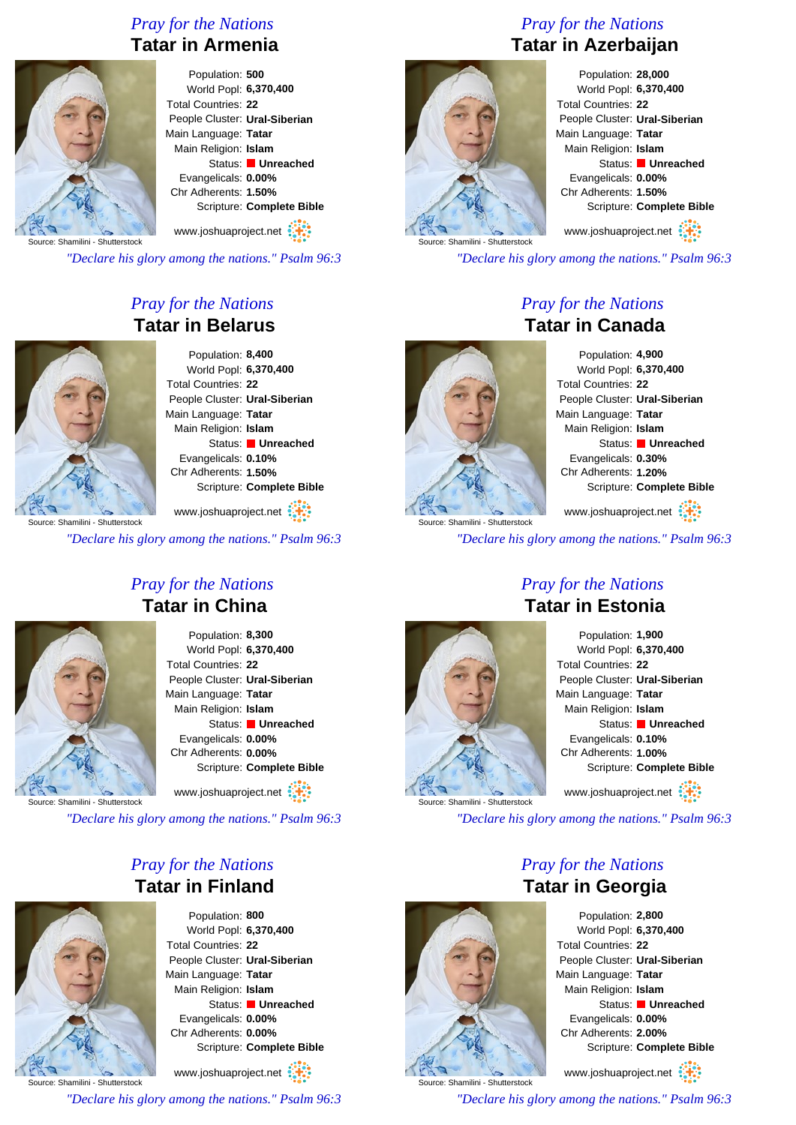## *Pray for the Nations* **Tatar in Armenia**



#### Population: **500** World Popl: **6,370,400** Total Countries: **22** People Cluster: **Ural-Siberian** Main Language: **Tatar** Main Religion: **Islam** Status: **Unreached** Evangelicals: **0.00%** Chr Adherents: **1.50%** Scripture: **Complete Bible**

www.joshuaproject.net

Source: Shamilini - Shutterstock

*"Declare his glory among the nations." Psalm 96:3*

## *Pray for the Nations* **Tatar in Belarus**



Population: **8,400** World Popl: **6,370,400** Total Countries: **22** People Cluster: **Ural-Siberian** Main Language: **Tatar** Main Religion: **Islam** Status: **Unreached** Evangelicals: **0.10%** Chr Adherents: **1.50%** Scripture: **Complete Bible**

www.joshuaproject.net

*"Declare his glory among the nations." Psalm 96:3*

## *Pray for the Nations* **Tatar in China**

Population: **8,300** World Popl: **6,370,400** Total Countries: **22** People Cluster: **Ural-Siberian** Main Language: **Tatar** Main Religion: **Islam** Status: **Unreached** Evangelicals: **0.00%** Chr Adherents: **0.00%** Scripture: **Complete Bible** www.joshuaproject.net

Source: Shamilini - Shutterstock

*"Declare his glory among the nations." Psalm 96:3*

## *Pray for the Nations* **Tatar in Finland**



Population: **800** World Popl: **6,370,400** Total Countries: **22** People Cluster: **Ural-Siberian** Main Language: **Tatar** Main Religion: **Islam** Status: **Unreached** Evangelicals: **0.00%** Chr Adherents: **0.00%** Scripture: **Complete Bible**

Source: Shamilini - Shutterstock www.joshuaproject.net *"Declare his glory among the nations." Psalm 96:3*

## *Pray for the Nations* **Tatar in Azerbaijan**



Population: **28,000** World Popl: **6,370,400** Total Countries: **22** People Cluster: **Ural-Siberian** Main Language: **Tatar** Main Religion: **Islam** Status: **Unreached** Evangelicals: **0.00%** Chr Adherents: **1.50%** Scripture: **Complete Bible**

www.joshuaproject.net

*"Declare his glory among the nations." Psalm 96:3*

## *Pray for the Nations* **Tatar in Canada**



Population: **4,900** World Popl: **6,370,400** Total Countries: **22** People Cluster: **Ural-Siberian** Main Language: **Tatar** Main Religion: **Islam** Status: **Unreached** Evangelicals: **0.30%** Chr Adherents: **1.20%** Scripture: **Complete Bible** www.joshuaproject.net

*"Declare his glory among the nations." Psalm 96:3*

## *Pray for the Nations* **Tatar in Estonia**



Population: **1,900** World Popl: **6,370,400** Total Countries: **22** People Cluster: **Ural-Siberian** Main Language: **Tatar** Main Religion: **Islam** Status: **Unreached** Evangelicals: **0.10%** Chr Adherents: **1.00%** Scripture: **Complete Bible** www.joshuaproject.net

*"Declare his glory among the nations." Psalm 96:3*

## *Pray for the Nations* **Tatar in Georgia**



Population: **2,800** World Popl: **6,370,400** Total Countries: **22** People Cluster: **Ural-Siberian** Main Language: **Tatar** Main Religion: **Islam** Status: **Unreached** Evangelicals: **0.00%** Chr Adherents: **2.00%** Scripture: **Complete Bible**

www.joshuaproject.net

*"Declare his glory among the nations." Psalm 96:3*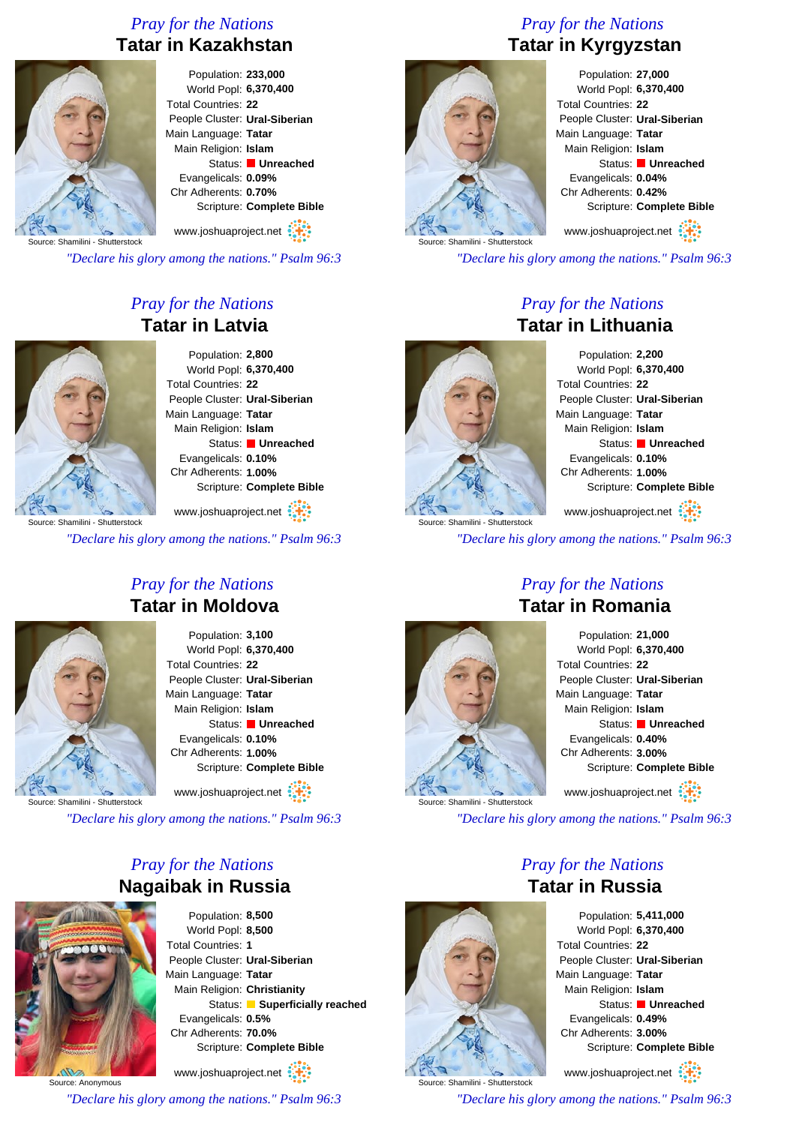## *Pray for the Nations* **Tatar in Kazakhstan**



Population: **233,000** World Popl: **6,370,400** Total Countries: **22** People Cluster: **Ural-Siberian** Main Language: **Tatar** Main Religion: **Islam** Status: **Unreached** Evangelicals: **0.09%** Chr Adherents: **0.70%** Scripture: **Complete Bible**

Source: Shamilini - Shutterstock www.joshuaproject.net

*"Declare his glory among the nations." Psalm 96:3*

## *Pray for the Nations* **Tatar in Latvia**



Population: **2,800** World Popl: **6,370,400** Total Countries: **22** People Cluster: **Ural-Siberian** Main Language: **Tatar** Main Religion: **Islam** Status: **Unreached** Evangelicals: **0.10%** Chr Adherents: **1.00%** Scripture: **Complete Bible**

www.joshuaproject.net

*"Declare his glory among the nations." Psalm 96:3*



## *Pray for the Nations* **Tatar in Moldova**

Population: **3,100** World Popl: **6,370,400** Total Countries: **22** People Cluster: **Ural-Siberian** Main Language: **Tatar** Main Religion: **Islam** Status: **Unreached** Evangelicals: **0.10%** Chr Adherents: **1.00%** Scripture: **Complete Bible** www.joshuaproject.net

Source: Shamilini - Shutterstock

*"Declare his glory among the nations." Psalm 96:3*

## *Pray for the Nations* **Nagaibak in Russia**



Population: **8,500** World Popl: **8,500** Total Countries: **1** People Cluster: **Ural-Siberian** Main Language: **Tatar** Main Religion: **Christianity** Status: **Superficially reached** Evangelicals: **0.5%** Chr Adherents: **70.0%** Scripture: **Complete Bible**

Source: Anonymous www.joshuaproject.net

*"Declare his glory among the nations." Psalm 96:3*

# *Pray for the Nations* **Tatar in Kyrgyzstan**



Population: **27,000** World Popl: **6,370,400** Total Countries: **22** People Cluster: **Ural-Siberian** Main Language: **Tatar** Main Religion: **Islam** Status: **Unreached** Evangelicals: **0.04%** Chr Adherents: **0.42%** Scripture: **Complete Bible**

www.joshuaproject.net

*"Declare his glory among the nations." Psalm 96:3*

## *Pray for the Nations* **Tatar in Lithuania**



Population: **2,200** World Popl: **6,370,400** Total Countries: **22** People Cluster: **Ural-Siberian** Main Language: **Tatar** Main Religion: **Islam** Status: **Unreached** Evangelicals: **0.10%** Chr Adherents: **1.00%** Scripture: **Complete Bible** www.joshuaproject.net

*"Declare his glory among the nations." Psalm 96:3*

## *Pray for the Nations* **Tatar in Romania**



Population: **21,000** World Popl: **6,370,400** Total Countries: **22** People Cluster: **Ural-Siberian** Main Language: **Tatar** Main Religion: **Islam** Status: **Unreached** Evangelicals: **0.40%** Chr Adherents: **3.00%** Scripture: **Complete Bible** www.joshuaproject.net

*"Declare his glory among the nations." Psalm 96:3*

## *Pray for the Nations* **Tatar in Russia**



Population: **5,411,000** World Popl: **6,370,400** Total Countries: **22** People Cluster: **Ural-Siberian** Main Language: **Tatar** Main Religion: **Islam** Status: **Unreached** Evangelicals: **0.49%** Chr Adherents: **3.00%** Scripture: **Complete Bible**

www.joshuaproject.net

*"Declare his glory among the nations." Psalm 96:3*